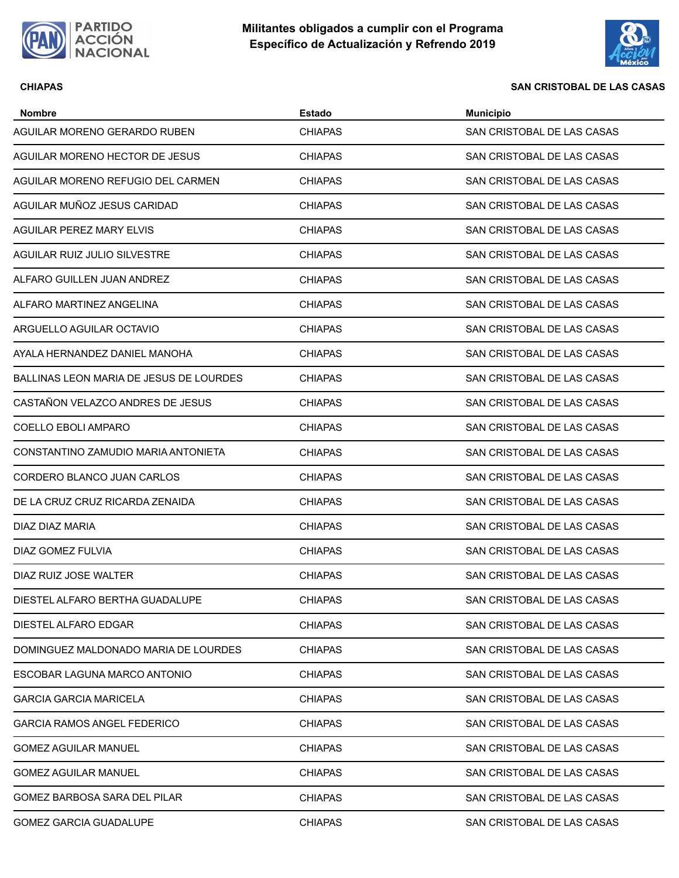



### **CHIAPAS SAN CRISTOBAL DE LAS CASAS**

| <b>Nombre</b>                           | <b>Estado</b>  | <b>Municipio</b>           |
|-----------------------------------------|----------------|----------------------------|
| AGUILAR MORENO GERARDO RUBEN            | <b>CHIAPAS</b> | SAN CRISTOBAL DE LAS CASAS |
| AGUILAR MORENO HECTOR DE JESUS          | <b>CHIAPAS</b> | SAN CRISTOBAL DE LAS CASAS |
| AGUILAR MORENO REFUGIO DEL CARMEN       | <b>CHIAPAS</b> | SAN CRISTOBAL DE LAS CASAS |
| AGUILAR MUÑOZ JESUS CARIDAD             | <b>CHIAPAS</b> | SAN CRISTOBAL DE LAS CASAS |
| AGUILAR PEREZ MARY ELVIS                | <b>CHIAPAS</b> | SAN CRISTOBAL DE LAS CASAS |
| AGUILAR RUIZ JULIO SILVESTRE            | <b>CHIAPAS</b> | SAN CRISTOBAL DE LAS CASAS |
| ALFARO GUILLEN JUAN ANDREZ              | <b>CHIAPAS</b> | SAN CRISTOBAL DE LAS CASAS |
| ALFARO MARTINEZ ANGELINA                | <b>CHIAPAS</b> | SAN CRISTOBAL DE LAS CASAS |
| ARGUELLO AGUILAR OCTAVIO                | <b>CHIAPAS</b> | SAN CRISTOBAL DE LAS CASAS |
| AYALA HERNANDEZ DANIEL MANOHA           | <b>CHIAPAS</b> | SAN CRISTOBAL DE LAS CASAS |
| BALLINAS LEON MARIA DE JESUS DE LOURDES | <b>CHIAPAS</b> | SAN CRISTOBAL DE LAS CASAS |
| CASTAÑON VELAZCO ANDRES DE JESUS        | <b>CHIAPAS</b> | SAN CRISTOBAL DE LAS CASAS |
| COELLO EBOLI AMPARO                     | <b>CHIAPAS</b> | SAN CRISTOBAL DE LAS CASAS |
| CONSTANTINO ZAMUDIO MARIA ANTONIETA     | <b>CHIAPAS</b> | SAN CRISTOBAL DE LAS CASAS |
| CORDERO BLANCO JUAN CARLOS              | <b>CHIAPAS</b> | SAN CRISTOBAL DE LAS CASAS |
| DE LA CRUZ CRUZ RICARDA ZENAIDA         | <b>CHIAPAS</b> | SAN CRISTOBAL DE LAS CASAS |
| DIAZ DIAZ MARIA                         | <b>CHIAPAS</b> | SAN CRISTOBAL DE LAS CASAS |
| DIAZ GOMEZ FULVIA                       | <b>CHIAPAS</b> | SAN CRISTOBAL DE LAS CASAS |
| DIAZ RUIZ JOSE WALTER                   | <b>CHIAPAS</b> | SAN CRISTOBAL DE LAS CASAS |
| DIESTEL ALFARO BERTHA GUADALUPE         | <b>CHIAPAS</b> | SAN CRISTOBAL DE LAS CASAS |
| DIESTEL ALFARO EDGAR                    | <b>CHIAPAS</b> | SAN CRISTOBAL DE LAS CASAS |
| DOMINGUEZ MALDONADO MARIA DE LOURDES    | <b>CHIAPAS</b> | SAN CRISTOBAL DE LAS CASAS |
| ESCOBAR LAGUNA MARCO ANTONIO            | <b>CHIAPAS</b> | SAN CRISTOBAL DE LAS CASAS |
| <b>GARCIA GARCIA MARICELA</b>           | <b>CHIAPAS</b> | SAN CRISTOBAL DE LAS CASAS |
| <b>GARCIA RAMOS ANGEL FEDERICO</b>      | <b>CHIAPAS</b> | SAN CRISTOBAL DE LAS CASAS |
| <b>GOMEZ AGUILAR MANUEL</b>             | <b>CHIAPAS</b> | SAN CRISTOBAL DE LAS CASAS |
| <b>GOMEZ AGUILAR MANUEL</b>             | <b>CHIAPAS</b> | SAN CRISTOBAL DE LAS CASAS |
| GOMEZ BARBOSA SARA DEL PILAR            | <b>CHIAPAS</b> | SAN CRISTOBAL DE LAS CASAS |
| <b>GOMEZ GARCIA GUADALUPE</b>           | <b>CHIAPAS</b> | SAN CRISTOBAL DE LAS CASAS |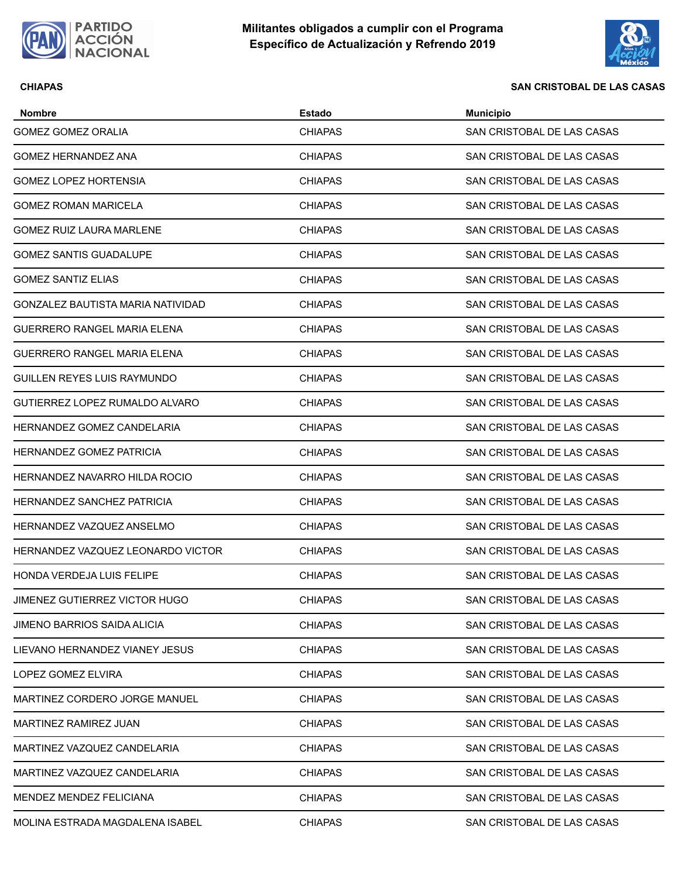



### **CHIAPAS SAN CRISTOBAL DE LAS CASAS**

| <b>Nombre</b>                      | Estado         | <b>Municipio</b>           |
|------------------------------------|----------------|----------------------------|
| <b>GOMEZ GOMEZ ORALIA</b>          | <b>CHIAPAS</b> | SAN CRISTOBAL DE LAS CASAS |
| <b>GOMEZ HERNANDEZ ANA</b>         | CHIAPAS        | SAN CRISTOBAL DE LAS CASAS |
| <b>GOMEZ LOPEZ HORTENSIA</b>       | CHIAPAS        | SAN CRISTOBAL DE LAS CASAS |
| <b>GOMEZ ROMAN MARICELA</b>        | CHIAPAS        | SAN CRISTOBAL DE LAS CASAS |
| GOMEZ RUIZ LAURA MARLENE           | <b>CHIAPAS</b> | SAN CRISTOBAL DE LAS CASAS |
| <b>GOMEZ SANTIS GUADALUPE</b>      | <b>CHIAPAS</b> | SAN CRISTOBAL DE LAS CASAS |
| <b>GOMEZ SANTIZ ELIAS</b>          | CHIAPAS        | SAN CRISTOBAL DE LAS CASAS |
| GONZALEZ BAUTISTA MARIA NATIVIDAD  | CHIAPAS        | SAN CRISTOBAL DE LAS CASAS |
| <b>GUERRERO RANGEL MARIA ELENA</b> | CHIAPAS        | SAN CRISTOBAL DE LAS CASAS |
| <b>GUERRERO RANGEL MARIA ELENA</b> | CHIAPAS        | SAN CRISTOBAL DE LAS CASAS |
| GUILLEN REYES LUIS RAYMUNDO        | <b>CHIAPAS</b> | SAN CRISTOBAL DE LAS CASAS |
| GUTIERREZ LOPEZ RUMALDO ALVARO     | <b>CHIAPAS</b> | SAN CRISTOBAL DE LAS CASAS |
| HERNANDEZ GOMEZ CANDELARIA         | <b>CHIAPAS</b> | SAN CRISTOBAL DE LAS CASAS |
| HERNANDEZ GOMEZ PATRICIA           | CHIAPAS        | SAN CRISTOBAL DE LAS CASAS |
| HERNANDEZ NAVARRO HILDA ROCIO      | CHIAPAS        | SAN CRISTOBAL DE LAS CASAS |
| <b>HERNANDEZ SANCHEZ PATRICIA</b>  | <b>CHIAPAS</b> | SAN CRISTOBAL DE LAS CASAS |
| HERNANDEZ VAZQUEZ ANSELMO          | CHIAPAS        | SAN CRISTOBAL DE LAS CASAS |
| HERNANDEZ VAZQUEZ LEONARDO VICTOR  | <b>CHIAPAS</b> | SAN CRISTOBAL DE LAS CASAS |
| HONDA VERDEJA LUIS FELIPE          | <b>CHIAPAS</b> | SAN CRISTOBAL DE LAS CASAS |
| JIMENEZ GUTIERREZ VICTOR HUGO      | <b>CHIAPAS</b> | SAN CRISTOBAL DE LAS CASAS |
| JIMENO BARRIOS SAIDA ALICIA        | CHIAPAS        | SAN CRISTOBAL DE LAS CASAS |
| LIEVANO HERNANDEZ VIANEY JESUS     | CHIAPAS        | SAN CRISTOBAL DE LAS CASAS |
| LOPEZ GOMEZ ELVIRA                 | CHIAPAS        | SAN CRISTOBAL DE LAS CASAS |
| MARTINEZ CORDERO JORGE MANUEL      | <b>CHIAPAS</b> | SAN CRISTOBAL DE LAS CASAS |
| MARTINEZ RAMIREZ JUAN              | <b>CHIAPAS</b> | SAN CRISTOBAL DE LAS CASAS |
| MARTINEZ VAZQUEZ CANDELARIA        | <b>CHIAPAS</b> | SAN CRISTOBAL DE LAS CASAS |
| MARTINEZ VAZQUEZ CANDELARIA        | CHIAPAS        | SAN CRISTOBAL DE LAS CASAS |
| MENDEZ MENDEZ FELICIANA            | CHIAPAS        | SAN CRISTOBAL DE LAS CASAS |
| MOLINA ESTRADA MAGDALENA ISABEL    | <b>CHIAPAS</b> | SAN CRISTOBAL DE LAS CASAS |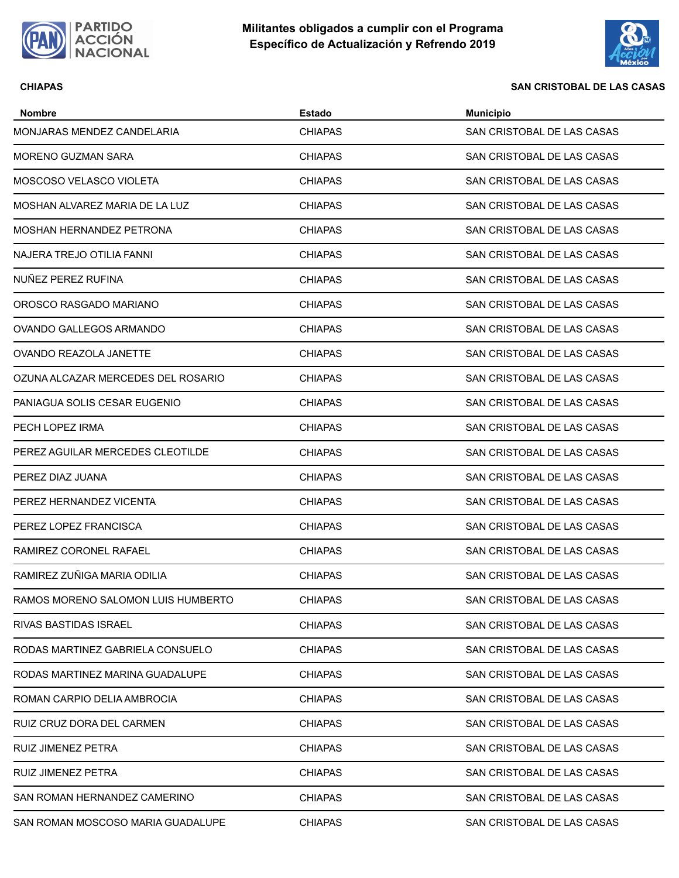



### **CHIAPAS SAN CRISTOBAL DE LAS CASAS**

| <b>Nombre</b>                      | <b>Estado</b>  | <b>Municipio</b>           |
|------------------------------------|----------------|----------------------------|
| MONJARAS MENDEZ CANDELARIA         | <b>CHIAPAS</b> | SAN CRISTOBAL DE LAS CASAS |
| MORENO GUZMAN SARA                 | <b>CHIAPAS</b> | SAN CRISTOBAL DE LAS CASAS |
| MOSCOSO VELASCO VIOLETA            | <b>CHIAPAS</b> | SAN CRISTOBAL DE LAS CASAS |
| MOSHAN ALVAREZ MARIA DE LA LUZ     | <b>CHIAPAS</b> | SAN CRISTOBAL DE LAS CASAS |
| MOSHAN HERNANDEZ PETRONA           | <b>CHIAPAS</b> | SAN CRISTOBAL DE LAS CASAS |
| NAJERA TREJO OTILIA FANNI          | <b>CHIAPAS</b> | SAN CRISTOBAL DE LAS CASAS |
| NUÑEZ PEREZ RUFINA                 | <b>CHIAPAS</b> | SAN CRISTOBAL DE LAS CASAS |
| OROSCO RASGADO MARIANO             | <b>CHIAPAS</b> | SAN CRISTOBAL DE LAS CASAS |
| OVANDO GALLEGOS ARMANDO            | <b>CHIAPAS</b> | SAN CRISTOBAL DE LAS CASAS |
| OVANDO REAZOLA JANETTE             | <b>CHIAPAS</b> | SAN CRISTOBAL DE LAS CASAS |
| OZUNA ALCAZAR MERCEDES DEL ROSARIO | <b>CHIAPAS</b> | SAN CRISTOBAL DE LAS CASAS |
| PANIAGUA SOLIS CESAR EUGENIO       | <b>CHIAPAS</b> | SAN CRISTOBAL DE LAS CASAS |
| PECH LOPEZ IRMA                    | <b>CHIAPAS</b> | SAN CRISTOBAL DE LAS CASAS |
| PEREZ AGUILAR MERCEDES CLEOTILDE   | <b>CHIAPAS</b> | SAN CRISTOBAL DE LAS CASAS |
| PEREZ DIAZ JUANA                   | <b>CHIAPAS</b> | SAN CRISTOBAL DE LAS CASAS |
| PEREZ HERNANDEZ VICENTA            | <b>CHIAPAS</b> | SAN CRISTOBAL DE LAS CASAS |
| PEREZ LOPEZ FRANCISCA              | <b>CHIAPAS</b> | SAN CRISTOBAL DE LAS CASAS |
| RAMIREZ CORONEL RAFAEL             | <b>CHIAPAS</b> | SAN CRISTOBAL DE LAS CASAS |
| RAMIREZ ZUÑIGA MARIA ODILIA        | <b>CHIAPAS</b> | SAN CRISTOBAL DE LAS CASAS |
| RAMOS MORENO SALOMON LUIS HUMBERTO | <b>CHIAPAS</b> | SAN CRISTOBAL DE LAS CASAS |
| RIVAS BASTIDAS ISRAEL              | <b>CHIAPAS</b> | SAN CRISTOBAL DE LAS CASAS |
| RODAS MARTINEZ GABRIELA CONSUELO   | <b>CHIAPAS</b> | SAN CRISTOBAL DE LAS CASAS |
| RODAS MARTINEZ MARINA GUADALUPE    | <b>CHIAPAS</b> | SAN CRISTOBAL DE LAS CASAS |
| ROMAN CARPIO DELIA AMBROCIA        | <b>CHIAPAS</b> | SAN CRISTOBAL DE LAS CASAS |
| RUIZ CRUZ DORA DEL CARMEN          | <b>CHIAPAS</b> | SAN CRISTOBAL DE LAS CASAS |
| RUIZ JIMENEZ PETRA                 | <b>CHIAPAS</b> | SAN CRISTOBAL DE LAS CASAS |
| RUIZ JIMENEZ PETRA                 | <b>CHIAPAS</b> | SAN CRISTOBAL DE LAS CASAS |
| SAN ROMAN HERNANDEZ CAMERINO       | <b>CHIAPAS</b> | SAN CRISTOBAL DE LAS CASAS |
| SAN ROMAN MOSCOSO MARIA GUADALUPE  | <b>CHIAPAS</b> | SAN CRISTOBAL DE LAS CASAS |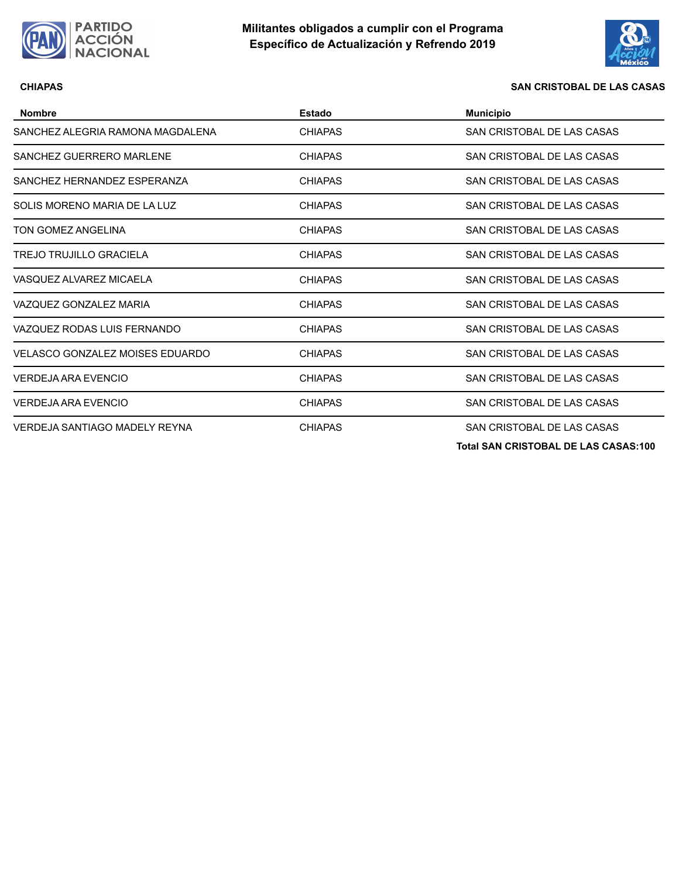



### **CHIAPAS SAN CRISTOBAL DE LAS CASAS**

| <b>Nombre</b>                          | Estado         | <b>Municipio</b>              |
|----------------------------------------|----------------|-------------------------------|
| SANCHEZ ALEGRIA RAMONA MAGDALENA       | <b>CHIAPAS</b> | SAN CRISTOBAL DE LAS CASAS    |
| SANCHEZ GUERRERO MARLENE               | <b>CHIAPAS</b> | SAN CRISTOBAL DE LAS CASAS    |
| SANCHEZ HERNANDEZ ESPERANZA            | <b>CHIAPAS</b> | SAN CRISTOBAL DE LAS CASAS    |
| SOLIS MORENO MARIA DE LA LUZ           | <b>CHIAPAS</b> | SAN CRISTOBAL DE LAS CASAS    |
| TON GOMEZ ANGELINA                     | <b>CHIAPAS</b> | SAN CRISTOBAL DE LAS CASAS    |
| <b>TREJO TRUJILLO GRACIELA</b>         | <b>CHIAPAS</b> | SAN CRISTOBAL DE LAS CASAS    |
| VASQUEZ ALVAREZ MICAELA                | <b>CHIAPAS</b> | SAN CRISTOBAL DE LAS CASAS    |
| VAZQUEZ GONZALEZ MARIA                 | <b>CHIAPAS</b> | SAN CRISTOBAL DE LAS CASAS    |
| VAZQUEZ RODAS LUIS FERNANDO            | <b>CHIAPAS</b> | SAN CRISTOBAL DE LAS CASAS    |
| <b>VELASCO GONZALEZ MOISES EDUARDO</b> | <b>CHIAPAS</b> | SAN CRISTOBAL DE LAS CASAS    |
| VERDEJA ARA EVENCIO                    | <b>CHIAPAS</b> | SAN CRISTOBAL DE LAS CASAS    |
| <b>VERDEJA ARA EVENCIO</b>             | <b>CHIAPAS</b> | SAN CRISTOBAL DE LAS CASAS    |
| VERDEJA SANTIAGO MADELY REYNA          | <b>CHIAPAS</b> | SAN CRISTOBAL DE LAS CASAS    |
|                                        |                | 7.101110070011071000100000101 |

**Total SAN CRISTOBAL DE LAS CASAS:100**